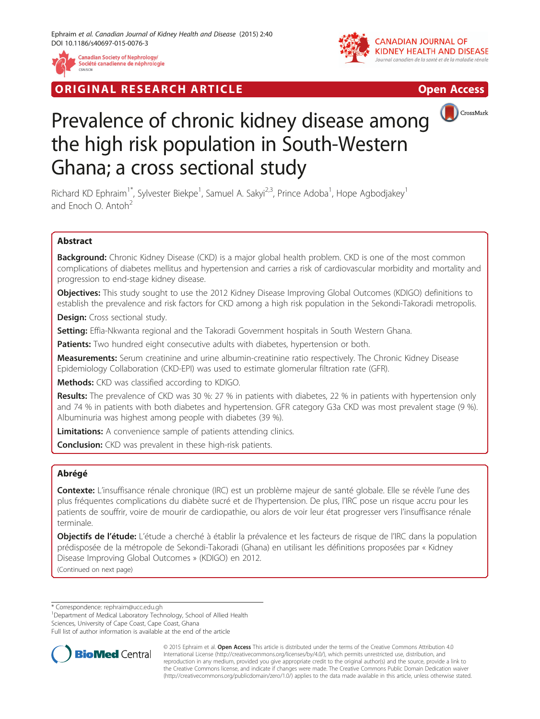

**RIGINAL RESEARCH ARTICLE CONSUMING ACCESS** 





# Prevalence of chronic kidney disease among the high risk population in South-Western Ghana; a cross sectional study

Richard KD Ephraim<sup>1\*</sup>, Sylvester Biekpe<sup>1</sup>, Samuel A. Sakyi<sup>2,3</sup>, Prince Adoba<sup>1</sup>, Hope Agbodjakey<sup>1</sup> and Enoch  $\Omega$  Antoh<sup>2</sup>

# Abstract

**Background:** Chronic Kidney Disease (CKD) is a major global health problem. CKD is one of the most common complications of diabetes mellitus and hypertension and carries a risk of cardiovascular morbidity and mortality and progression to end-stage kidney disease.

Objectives: This study sought to use the 2012 Kidney Disease Improving Global Outcomes (KDIGO) definitions to establish the prevalence and risk factors for CKD among a high risk population in the Sekondi-Takoradi metropolis.

Design: Cross sectional study.

Setting: Effia-Nkwanta regional and the Takoradi Government hospitals in South Western Ghana.

Patients: Two hundred eight consecutive adults with diabetes, hypertension or both.

Measurements: Serum creatinine and urine albumin-creatinine ratio respectively. The Chronic Kidney Disease Epidemiology Collaboration (CKD-EPI) was used to estimate glomerular filtration rate (GFR).

Methods: CKD was classified according to KDIGO.

Results: The prevalence of CKD was 30 %: 27 % in patients with diabetes, 22 % in patients with hypertension only and 74 % in patients with both diabetes and hypertension. GFR category G3a CKD was most prevalent stage (9 %). Albuminuria was highest among people with diabetes (39 %).

**Limitations:** A convenience sample of patients attending clinics.

**Conclusion:** CKD was prevalent in these high-risk patients.

## Abrégé

Contexte: L'insuffisance rénale chronique (IRC) est un problème majeur de santé globale. Elle se révèle l'une des plus fréquentes complications du diabète sucré et de l'hypertension. De plus, l'IRC pose un risque accru pour les patients de souffrir, voire de mourir de cardiopathie, ou alors de voir leur état progresser vers l'insuffisance rénale terminale.

Objectifs de l'étude: L'étude a cherché à établir la prévalence et les facteurs de risque de l'IRC dans la population prédisposée de la métropole de Sekondi-Takoradi (Ghana) en utilisant les définitions proposées par « Kidney Disease Improving Global Outcomes » (KDIGO) en 2012.

(Continued on next page)

\* Correspondence: [rephraim@ucc.edu.gh](mailto:rephraim@ucc.edu.gh) <sup>1</sup>

<sup>1</sup>Department of Medical Laboratory Technology, School of Allied Health

Sciences, University of Cape Coast, Cape Coast, Ghana

Full list of author information is available at the end of the article



© 2015 Ephraim et al. Open Access This article is distributed under the terms of the Creative Commons Attribution 4.0 International License [\(http://creativecommons.org/licenses/by/4.0/](http://creativecommons.org/licenses/by/4.0/)), which permits unrestricted use, distribution, and reproduction in any medium, provided you give appropriate credit to the original author(s) and the source, provide a link to the Creative Commons license, and indicate if changes were made. The Creative Commons Public Domain Dedication waiver [\(http://creativecommons.org/publicdomain/zero/1.0/](http://creativecommons.org/publicdomain/zero/1.0/)) applies to the data made available in this article, unless otherwise stated.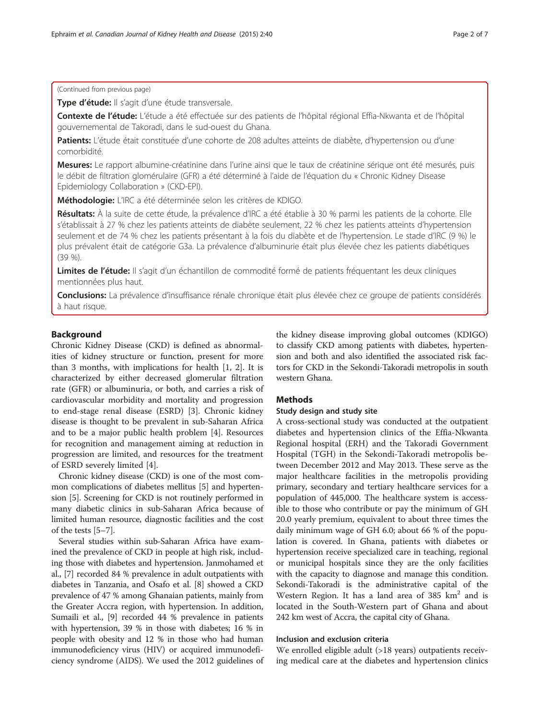Type d'étude: Il s'agit d'une étude transversale.

Contexte de l'étude: L'étude a été effectuée sur des patients de l'hôpital régional Effia-Nkwanta et de l'hôpital gouvernemental de Takoradi, dans le sud-ouest du Ghana.

Patients: L'étude était constituée d'une cohorte de 208 adultes atteints de diabète, d'hypertension ou d'une comorbidité.

Mesures: Le rapport albumine-créatinine dans l'urine ainsi que le taux de créatinine sérique ont été mesurés, puis le débit de filtration glomérulaire (GFR) a été déterminé à l'aide de l'équation du « Chronic Kidney Disease Epidemiology Collaboration » (CKD-EPI).

Méthodologie: L'IRC a été déterminée selon les critères de KDIGO.

Résultats: À la suite de cette étude, la prévalence d'IRC a été établie à 30 % parmi les patients de la cohorte. Elle s'établissait à 27 % chez les patients atteints de diabète seulement, 22 % chez les patients atteints d'hypertension seulement et de 74 % chez les patients présentant à la fois du diabète et de l'hypertension. Le stade d'IRC (9 %) le plus prévalent était de catégorie G3a. La prévalence d'albuminurie était plus élevée chez les patients diabétiques (39 %).

Limites de l'étude: Il s'agit d'un échantillon de commodité formé de patients fréquentant les deux cliniques mentionnées plus haut.

Conclusions: La prévalence d'insuffisance rénale chronique était plus élevée chez ce groupe de patients considérés à haut risque.

#### Background

Chronic Kidney Disease (CKD) is defined as abnormalities of kidney structure or function, present for more than 3 months, with implications for health [[1, 2\]](#page-6-0). It is characterized by either decreased glomerular filtration rate (GFR) or albuminuria, or both, and carries a risk of cardiovascular morbidity and mortality and progression to end-stage renal disease (ESRD) [[3\]](#page-6-0). Chronic kidney disease is thought to be prevalent in sub-Saharan Africa and to be a major public health problem [[4\]](#page-6-0). Resources for recognition and management aiming at reduction in progression are limited, and resources for the treatment of ESRD severely limited [\[4](#page-6-0)].

Chronic kidney disease (CKD) is one of the most common complications of diabetes mellitus [\[5](#page-6-0)] and hypertension [\[5](#page-6-0)]. Screening for CKD is not routinely performed in many diabetic clinics in sub-Saharan Africa because of limited human resource, diagnostic facilities and the cost of the tests [\[5](#page-6-0)–[7\]](#page-6-0).

Several studies within sub-Saharan Africa have examined the prevalence of CKD in people at high risk, including those with diabetes and hypertension. Janmohamed et al., [[7](#page-6-0)] recorded 84 % prevalence in adult outpatients with diabetes in Tanzania, and Osafo et al. [\[8](#page-6-0)] showed a CKD prevalence of 47 % among Ghanaian patients, mainly from the Greater Accra region, with hypertension. In addition, Sumaili et al., [[9](#page-6-0)] recorded 44 % prevalence in patients with hypertension, 39 % in those with diabetes; 16 % in people with obesity and 12 % in those who had human immunodeficiency virus (HIV) or acquired immunodeficiency syndrome (AIDS). We used the 2012 guidelines of

the kidney disease improving global outcomes (KDIGO) to classify CKD among patients with diabetes, hypertension and both and also identified the associated risk factors for CKD in the Sekondi-Takoradi metropolis in south western Ghana.

### Methods

#### Study design and study site

A cross-sectional study was conducted at the outpatient diabetes and hypertension clinics of the Effia-Nkwanta Regional hospital (ERH) and the Takoradi Government Hospital (TGH) in the Sekondi-Takoradi metropolis between December 2012 and May 2013. These serve as the major healthcare facilities in the metropolis providing primary, secondary and tertiary healthcare services for a population of 445,000. The healthcare system is accessible to those who contribute or pay the minimum of GH 20.0 yearly premium, equivalent to about three times the daily minimum wage of GH 6.0; about 66 % of the population is covered. In Ghana, patients with diabetes or hypertension receive specialized care in teaching, regional or municipal hospitals since they are the only facilities with the capacity to diagnose and manage this condition. Sekondi-Takoradi is the administrative capital of the Western Region. It has a land area of  $385 \text{ km}^2$  and is located in the South-Western part of Ghana and about 242 km west of Accra, the capital city of Ghana.

#### Inclusion and exclusion criteria

We enrolled eligible adult (>18 years) outpatients receiving medical care at the diabetes and hypertension clinics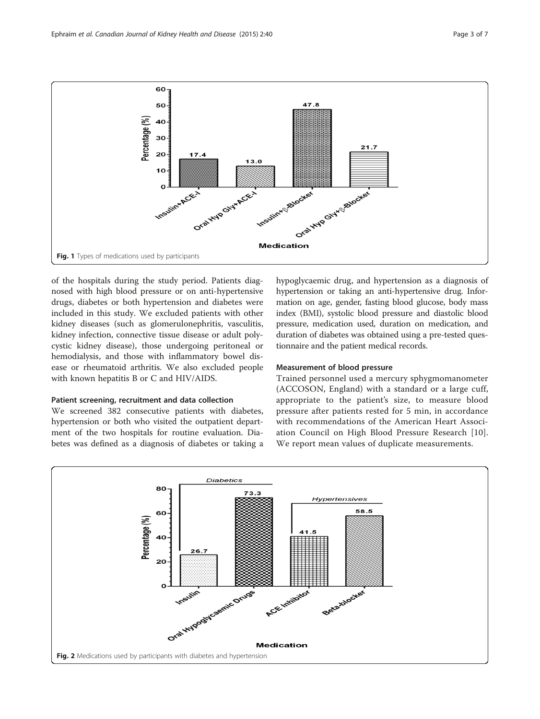<span id="page-2-0"></span>

of the hospitals during the study period. Patients diagnosed with high blood pressure or on anti-hypertensive drugs, diabetes or both hypertension and diabetes were included in this study. We excluded patients with other kidney diseases (such as glomerulonephritis, vasculitis, kidney infection, connective tissue disease or adult polycystic kidney disease), those undergoing peritoneal or hemodialysis, and those with inflammatory bowel disease or rheumatoid arthritis. We also excluded people with known hepatitis B or C and HIV/AIDS.

### Patient screening, recruitment and data collection

We screened 382 consecutive patients with diabetes, hypertension or both who visited the outpatient department of the two hospitals for routine evaluation. Diabetes was defined as a diagnosis of diabetes or taking a hypoglycaemic drug, and hypertension as a diagnosis of hypertension or taking an anti-hypertensive drug. Information on age, gender, fasting blood glucose, body mass index (BMI), systolic blood pressure and diastolic blood pressure, medication used, duration on medication, and duration of diabetes was obtained using a pre-tested questionnaire and the patient medical records.

#### Measurement of blood pressure

Trained personnel used a mercury sphygmomanometer (ACCOSON, England) with a standard or a large cuff, appropriate to the patient's size, to measure blood pressure after patients rested for 5 min, in accordance with recommendations of the American Heart Association Council on High Blood Pressure Research [[10](#page-6-0)]. We report mean values of duplicate measurements.

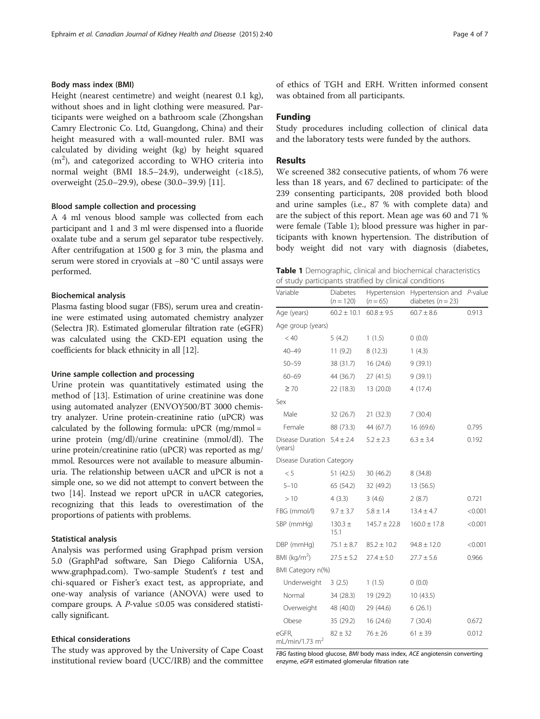### <span id="page-3-0"></span>Body mass index (BMI)

Height (nearest centimetre) and weight (nearest 0.1 kg), without shoes and in light clothing were measured. Participants were weighed on a bathroom scale (Zhongshan Camry Electronic Co. Ltd, Guangdong, China) and their height measured with a wall-mounted ruler. BMI was calculated by dividing weight (kg) by height squared  $(m<sup>2</sup>)$ , and categorized according to WHO criteria into normal weight (BMI 18.5–24.9), underweight (<18.5), overweight (25.0–29.9), obese (30.0–39.9) [\[11](#page-6-0)].

#### Blood sample collection and processing

A 4 ml venous blood sample was collected from each participant and 1 and 3 ml were dispensed into a fluoride oxalate tube and a serum gel separator tube respectively. After centrifugation at 1500 g for 3 min, the plasma and serum were stored in cryovials at −80 °C until assays were performed.

#### Biochemical analysis

Plasma fasting blood sugar (FBS), serum urea and creatinine were estimated using automated chemistry analyzer (Selectra JR). Estimated glomerular filtration rate (eGFR) was calculated using the CKD-EPI equation using the coefficients for black ethnicity in all [\[12](#page-6-0)].

#### Urine sample collection and processing

Urine protein was quantitatively estimated using the method of [[13\]](#page-6-0). Estimation of urine creatinine was done using automated analyzer (ENVOY500/BT 3000 chemistry analyzer. Urine protein-creatinine ratio (uPCR) was calculated by the following formula:  $\mu$ PCR (mg/mmol = urine protein (mg/dl)/urine creatinine (mmol/dl). The urine protein/creatinine ratio (uPCR) was reported as mg/ mmol. Resources were not available to measure albuminuria. The relationship between uACR and uPCR is not a simple one, so we did not attempt to convert between the two [\[14](#page-6-0)]. Instead we report uPCR in uACR categories, recognizing that this leads to overestimation of the proportions of patients with problems.

## Statistical analysis

Analysis was performed using Graphpad prism version 5.0 (GraphPad software, San Diego California USA, [www.graphpad.com\)](http://www.graphpad.com). Two-sample Student's  $t$  test and chi-squared or Fisher's exact test, as appropriate, and one-way analysis of variance (ANOVA) were used to compare groups. A *P*-value  $\leq 0.05$  was considered statistically significant.

#### Ethical considerations

The study was approved by the University of Cape Coast institutional review board (UCC/IRB) and the committee of ethics of TGH and ERH. Written informed consent was obtained from all participants.

## Funding

Study procedures including collection of clinical data and the laboratory tests were funded by the authors.

## Results

We screened 382 consecutive patients, of whom 76 were less than 18 years, and 67 declined to participate: of the 239 consenting participants, 208 provided both blood and urine samples (i.e., 87 % with complete data) and are the subject of this report. Mean age was 60 and 71 % were female (Table 1); blood pressure was higher in participants with known hypertension. The distribution of body weight did not vary with diagnosis (diabetes,

| Table 1 Demographic, clinical and biochemical characteristics |
|---------------------------------------------------------------|
| of study participants stratified by clinical conditions       |

| Variable                                  | <b>Diabetes</b><br>$(n = 120)$ | Hypertension<br>$(n = 65)$ | Hypertension and<br>diabetes ( $n = 23$ ) | $P$ -value |
|-------------------------------------------|--------------------------------|----------------------------|-------------------------------------------|------------|
| Age (years)                               | $60.2 \pm 10.1$                | $60.8 \pm 9.5$             | $60.7 \pm 8.6$                            | 0.913      |
| Age group (years)                         |                                |                            |                                           |            |
| < 40                                      | 5(4.2)                         | 1(1.5)                     | 0(0.0)                                    |            |
| $40 - 49$                                 | 11(9.2)                        | 8(12.3)                    | 1(4.3)                                    |            |
| $50 - 59$                                 | 38 (31.7)                      | 16 (24.6)                  | 9(39.1)                                   |            |
| $60 - 69$                                 | 44 (36.7)                      | 27(41.5)                   | 9(39.1)                                   |            |
| $\geq 70$                                 | 22 (18.3)                      | 13 (20.0)                  | 4(17.4)                                   |            |
| Sex                                       |                                |                            |                                           |            |
| Male                                      | 32 (26.7)                      | 21(32.3)                   | 7(30.4)                                   |            |
| Female                                    | 88 (73.3)                      | 44 (67.7)                  | 16 (69.6)                                 | 0.795      |
| Disease Duration $5.4 \pm 2.4$<br>(years) |                                | $5.2 \pm 2.3$              | $6.3 \pm 3.4$                             | 0.192      |
| Disease Duration Category                 |                                |                            |                                           |            |
| < 5                                       | 51(42.5)                       | 30(46.2)                   | 8(34.8)                                   |            |
| $5 - 10$                                  | 65 (54.2)                      | 32 (49.2)                  | 13 (56.5)                                 |            |
| >10                                       | 4(3.3)                         | 3(4.6)                     | 2(8.7)                                    | 0.721      |
| FBG (mmol/l)                              | $9.7 \pm 3.7$                  | $5.8 \pm 1.4$              | $13.4 \pm 4.7$                            | < 0.001    |
| SBP (mmHg)                                | $130.3 +$<br>15.1              | $145.7 \pm 22.8$           | $160.0 \pm 17.8$                          | < 0.001    |
| DBP (mmHg)                                | $75.1 \pm 8.7$                 | $85.2 \pm 10.2$            | $94.8 \pm 12.0$                           | < 0.001    |
| BMI ( $kg/m2$ )                           | $27.5 \pm 5.2$                 | $27.4 \pm 5.0$             | $27.7 \pm 5.6$                            | 0.966      |
| BMI Category n(%)                         |                                |                            |                                           |            |
| Underweight                               | 3(2.5)                         | 1(1.5)                     | 0(0.0)                                    |            |
| Normal                                    | 34 (28.3)                      | 19 (29.2)                  | 10(43.5)                                  |            |
| Overweight                                | 48 (40.0)                      | 29 (44.6)                  | 6(26.1)                                   |            |
| Obese                                     | 35 (29.2)                      | 16 (24.6)                  | 7(30.4)                                   | 0.672      |
| eGFR,<br>mL/min/1.73 $m2$                 | $82 \pm 32$                    | $76 \pm 26$                | $61 \pm 39$                               | 0.012      |

FBG fasting blood glucose, BMI body mass index, ACE angiotensin converting enzyme, eGFR estimated glomerular filtration rate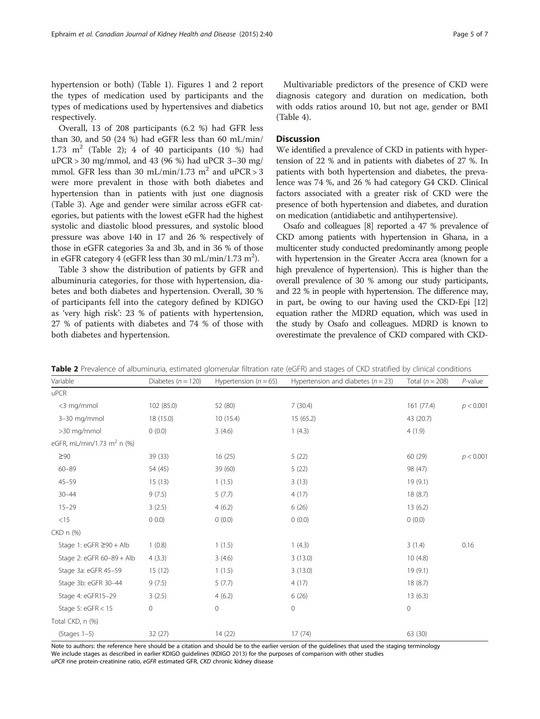hypertension or both) (Table [1](#page-3-0)). Figures [1](#page-2-0) and [2](#page-2-0) report the types of medication used by participants and the types of medications used by hypertensives and diabetics respectively.

Overall, 13 of 208 participants (6.2 %) had GFR less than 30, and 50 (24 %) had eGFR less than 60 mL/min/ 1.73  $m<sup>2</sup>$  (Table 2); 4 of 40 participants (10 %) had uPCR > 30 mg/mmol, and 43 (96 %) had uPCR 3–30 mg/ mmol. GFR less than 30 mL/min/1.73 m<sup>2</sup> and uPCR > 3 were more prevalent in those with both diabetes and hypertension than in patients with just one diagnosis (Table [3](#page-5-0)). Age and gender were similar across eGFR categories, but patients with the lowest eGFR had the highest systolic and diastolic blood pressures, and systolic blood pressure was above 140 in 17 and 26 % respectively of those in eGFR categories 3a and 3b, and in 36 % of those in eGFR category  $4$  (eGFR less than 30 mL/min/1.73 m<sup>2</sup>).

Table [3](#page-5-0) show the distribution of patients by GFR and albuminuria categories, for those with hypertension, diabetes and both diabetes and hypertension. Overall, 30 % of participants fell into the category defined by KDIGO as 'very high risk': 23 % of patients with hypertension, 27 % of patients with diabetes and 74 % of those with both diabetes and hypertension.

Multivariable predictors of the presence of CKD were diagnosis category and duration on medication, both with odds ratios around 10, but not age, gender or BMI (Table [4\)](#page-5-0).

## **Discussion**

We identified a prevalence of CKD in patients with hypertension of 22 % and in patients with diabetes of 27 %. In patients with both hypertension and diabetes, the prevalence was 74 %, and 26 % had category G4 CKD. Clinical factors associated with a greater risk of CKD were the presence of both hypertension and diabetes, and duration on medication (antidiabetic and antihypertensive).

Osafo and colleagues [\[8](#page-6-0)] reported a 47 % prevalence of CKD among patients with hypertension in Ghana, in a multicenter study conducted predominantly among people with hypertension in the Greater Accra area (known for a high prevalence of hypertension). This is higher than the overall prevalence of 30 % among our study participants, and 22 % in people with hypertension. The difference may, in part, be owing to our having used the CKD-Epi [\[12](#page-6-0)] equation rather the MDRD equation, which was used in the study by Osafo and colleagues. MDRD is known to overestimate the prevalence of CKD compared with CKD-

| Variable                               | Diabetes ( $n = 120$ ) | Hypertension $(n = 65)$ | Hypertension and diabetes ( $n = 23$ ) | Total $(n = 208)$ | $P$ -value |
|----------------------------------------|------------------------|-------------------------|----------------------------------------|-------------------|------------|
| uPCR                                   |                        |                         |                                        |                   |            |
| <3 mg/mmol                             | 102 (85.0)             | 52 (80)                 | 7(30.4)                                | 161 (77.4)        | p < 0.001  |
| 3-30 mg/mmol                           | 18 (15.0)              | 10(15.4)                | 15 (65.2)                              | 43 (20.7)         |            |
| >30 mg/mmol                            | 0(0.0)                 | 3(4.6)                  | 1(4.3)                                 | 4(1.9)            |            |
| eGFR, mL/min/1.73 m <sup>2</sup> n (%) |                        |                         |                                        |                   |            |
| $\geq 90$                              | 39 (33)                | 16(25)                  | 5(22)                                  | 60 (29)           | p < 0.001  |
| $60 - 89$                              | 54 (45)                | 39 (60)                 | 5(22)                                  | 98 (47)           |            |
| $45 - 59$                              | 15(13)                 | 1(1.5)                  | 3(13)                                  | 19(9.1)           |            |
| $30 - 44$                              | 9(7.5)                 | 5(7.7)                  | 4(17)                                  | 18(8.7)           |            |
| $15 - 29$                              | 3(2.5)                 | 4(6.2)                  | 6(26)                                  | 13(6.2)           |            |
| <15                                    | $0\ 0.0$               | 0(0.0)                  | 0(0.0)                                 | 0(0.0)            |            |
| CKD n (%)                              |                        |                         |                                        |                   |            |
| Stage 1: eGFR $\geq$ 90 + Alb          | 1(0.8)                 | 1(1.5)                  | 1(4.3)                                 | 3(1.4)            | 0.16       |
| Stage 2: eGFR 60-89 + Alb              | 4(3.3)                 | 3(4.6)                  | 3(13.0)                                | 10(4.8)           |            |
| Stage 3a: eGFR 45-59                   | 15(12)                 | 1(1.5)                  | 3(13.0)                                | 19(9.1)           |            |
| Stage 3b: eGFR 30-44                   | 9(7.5)                 | 5(7.7)                  | 4(17)                                  | 18 (8.7)          |            |
| Stage 4: eGFR15-29                     | 3(2.5)                 | 4(6.2)                  | 6(26)                                  | 13(6.3)           |            |
| Stage 5: $eGFR < 15$                   | $\mathsf{O}\xspace$    | $\mathbf 0$             | $\mathsf{O}\xspace$                    | 0                 |            |
| Total CKD, n (%)                       |                        |                         |                                        |                   |            |
| $(Stages 1-5)$                         | 32(27)                 | 14 (22)                 | 17(74)                                 | 63 (30)           |            |

Table 2 Prevalence of albuminuria, estimated glomerular filtration rate (eGFR) and stages of CKD stratified by clinical conditions

Note to authors: the reference here should be a citation and should be to the earlier version of the guidelines that used the staging terminology We include stages as described in earlier KDIGO guidelines (KDIGO [2013\)](#page-6-0) for the purposes of comparison with other studies uPCR rine protein-creatinine ratio, eGFR estimated GFR, CKD chronic kidney disease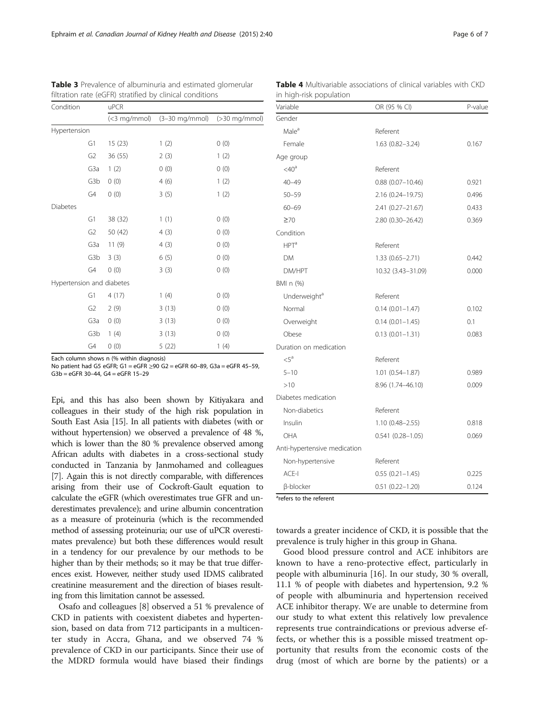Each column shows n (% within diagnosis)

Hypertension and diabetes

No patient had G5 eGFR; G1 = eGFR ≥90 G2 = eGFR 60–89, G3a = eGFR 45–59, G3b = eGFR 30–44, G4 = eGFR 15–29

Epi, and this has also been shown by Kitiyakara and colleagues in their study of the high risk population in South East Asia [\[15\]](#page-6-0). In all patients with diabetes (with or without hypertension) we observed a prevalence of 48 %, which is lower than the 80 % prevalence observed among African adults with diabetes in a cross-sectional study conducted in Tanzania by Janmohamed and colleagues [[7\]](#page-6-0). Again this is not directly comparable, with differences arising from their use of Cockroft-Gault equation to calculate the eGFR (which overestimates true GFR and underestimates prevalence); and urine albumin concentration as a measure of proteinuria (which is the recommended method of assessing proteinuria; our use of uPCR overestimates prevalence) but both these differences would result in a tendency for our prevalence by our methods to be higher than by their methods; so it may be that true differences exist. However, neither study used IDMS calibrated creatinine measurement and the direction of biases resulting from this limitation cannot be assessed.

Osafo and colleagues [[8\]](#page-6-0) observed a 51 % prevalence of CKD in patients with coexistent diabetes and hypertension, based on data from 712 participants in a multicenter study in Accra, Ghana, and we observed 74 % prevalence of CKD in our participants. Since their use of the MDRD formula would have biased their findings

**Table 4** Multivariable associations of clinical variables with CKD in high-risk population

| Variable                     | OR (95 % CI)         | P-value |
|------------------------------|----------------------|---------|
| Gender                       |                      |         |
| Male <sup>a</sup>            | Referent             |         |
| Female                       | $1.63(0.82 - 3.24)$  | 0.167   |
| Age group                    |                      |         |
| $<$ 40 <sup>a</sup>          | Referent             |         |
| $40 - 49$                    | $0.88$ (0.07-10.46)  | 0.921   |
| $50 - 59$                    | 2.16 (0.24-19.75)    | 0.496   |
| $60 - 69$                    | 2.41 (0.27-21.67)    | 0.433   |
| $\geq 70$                    | 2.80 (0.30-26.42)    | 0.369   |
| Condition                    |                      |         |
| HPT <sup>a</sup>             | Referent             |         |
| <b>DM</b>                    | 1.33 (0.65-2.71)     | 0.442   |
| DM/HPT                       | 10.32 (3.43-31.09)   | 0.000   |
| BMI n (%)                    |                      |         |
| Underweight <sup>®</sup>     | Referent             |         |
| Normal                       | $0.14(0.01 - 1.47)$  | 0.102   |
| Overweight                   | $0.14(0.01 - 1.45)$  | 0.1     |
| Obese                        | $0.13(0.01 - 1.31)$  | 0.083   |
| Duration on medication       |                      |         |
| $\leq$ 5 <sup>a</sup>        | Referent             |         |
| $5 - 10$                     | $1.01(0.54 - 1.87)$  | 0.989   |
| >10                          | 8.96 (1.74-46.10)    | 0.009   |
| Diabetes medication          |                      |         |
| Non-diabetics                | Referent             |         |
| Insulin                      | $1.10(0.48 - 2.55)$  | 0.818   |
| OHA                          | $0.541(0.28 - 1.05)$ | 0.069   |
| Anti-hypertensive medication |                      |         |
| Non-hypertensive             | Referent             |         |
| $ACE-I$                      | $0.55(0.21 - 1.45)$  | 0.225   |
| β-blocker                    | $0.51(0.22 - 1.20)$  | 0.124   |

towards a greater incidence of CKD, it is possible that the prevalence is truly higher in this group in Ghana.

Good blood pressure control and ACE inhibitors are known to have a reno-protective effect, particularly in people with albuminuria [[16](#page-6-0)]. In our study, 30 % overall, 11.1 % of people with diabetes and hypertension, 9.2 % of people with albuminuria and hypertension received ACE inhibitor therapy. We are unable to determine from our study to what extent this relatively low prevalence represents true contraindications or previous adverse effects, or whether this is a possible missed treatment opportunity that results from the economic costs of the drug (most of which are borne by the patients) or a

(<3 mg/mmol) (3–30 mg/mmol) (>30 mg/mmol)

<span id="page-5-0"></span>Table 3 Prevalence of albuminuria and estimated glomerular

G1 15 (23) 1 (2) 0 (0)  $G2 \t36 (55) \t2(3) \t1(2)$ G3a 1 (2) 0 (0) 0 (0) G3b 0 (0) 4 (6) 1 (2) G4 0 (0) 3 (5) 1 (2)

G1 38 (32) 1 (1) 0 (0) G2  $50 (42)$   $4 (3)$   $0 (0)$ G3a  $11 (9)$  4 (3) 0 (0) G3b 3 (3) 6 (5) 0 (0)  $G4 \tO(0)$  3 (3) 0 (0)

G1 4 (17) 1 (4) 0 (0)  $G2 \t2 (9) \t3 (13) \t0 (0)$ G3a  $0 (0)$  3 (13) 0 (0) G3b 1 (4) 3 (13) 0 (0)  $G4 \tO(0)$  5 (22) 1 (4)

filtration rate (eGFR) stratified by clinical conditions

Condition uPCR

Hypertension

Diabetes